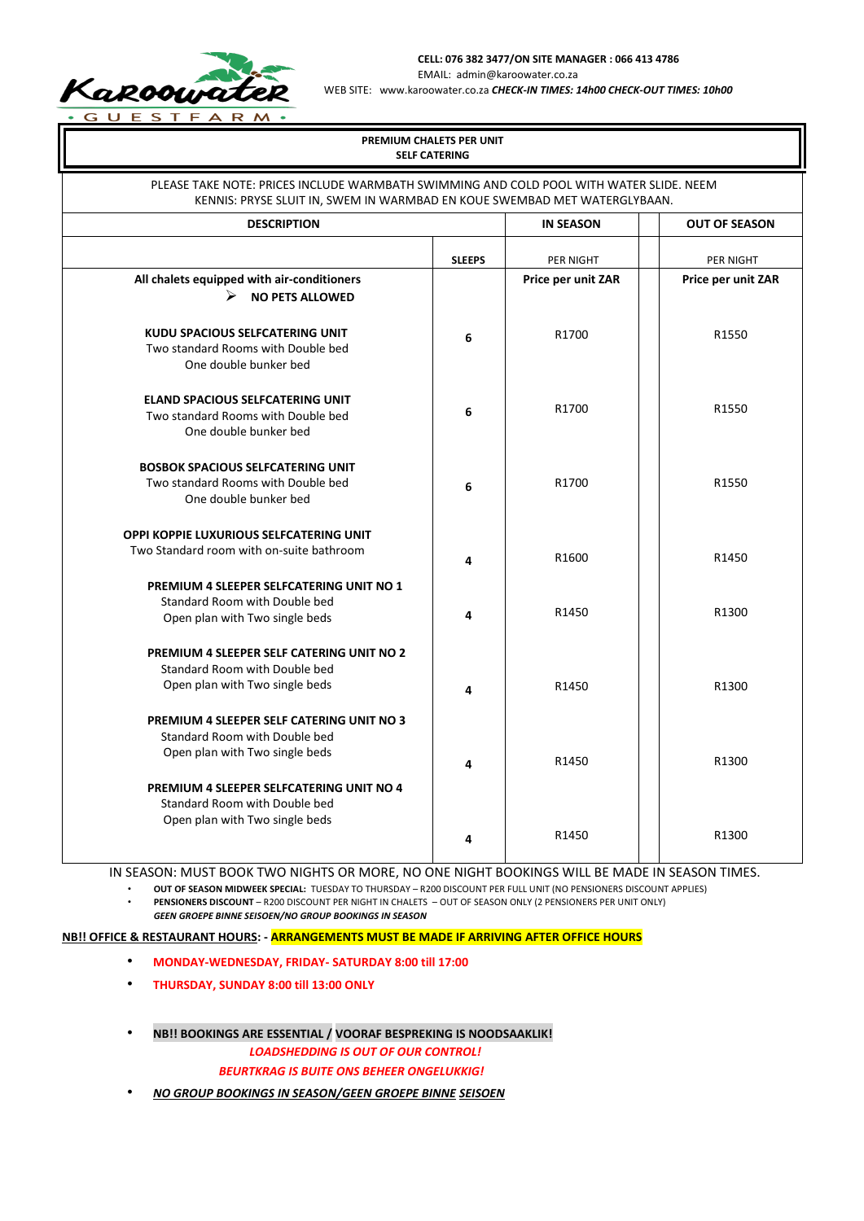

**CELL: 076 382 3477/ON SITE MANAGER : 066 413 4786**

EMAIL: admin@karoowater.co.za

WEB SITE: www.karoowater.co.za *CHECK-IN TIMES: 14h00 CHECK-OUT TIMES: 10h00* 

| PREMIUM CHALETS PER UNIT<br><b>SELF CATERING</b>                                                                                                                     |               |                    |                      |  |  |  |  |  |
|----------------------------------------------------------------------------------------------------------------------------------------------------------------------|---------------|--------------------|----------------------|--|--|--|--|--|
| PLEASE TAKE NOTE: PRICES INCLUDE WARMBATH SWIMMING AND COLD POOL WITH WATER SLIDE. NEEM<br>KENNIS: PRYSE SLUIT IN, SWEM IN WARMBAD EN KOUE SWEMBAD MET WATERGLYBAAN. |               |                    |                      |  |  |  |  |  |
| <b>DESCRIPTION</b>                                                                                                                                                   |               |                    | <b>OUT OF SEASON</b> |  |  |  |  |  |
|                                                                                                                                                                      | <b>SLEEPS</b> | PER NIGHT          | PER NIGHT            |  |  |  |  |  |
| All chalets equipped with air-conditioners<br>➤<br><b>NO PETS ALLOWED</b>                                                                                            |               | Price per unit ZAR | Price per unit ZAR   |  |  |  |  |  |
| <b>KUDU SPACIOUS SELFCATERING UNIT</b><br>Two standard Rooms with Double bed<br>One double bunker bed                                                                | 6             | R1700              | R1550                |  |  |  |  |  |
| <b>ELAND SPACIOUS SELFCATERING UNIT</b><br>Two standard Rooms with Double bed<br>One double bunker bed                                                               | 6             | R1700              | R1550                |  |  |  |  |  |
| <b>BOSBOK SPACIOUS SELFCATERING UNIT</b><br>Two standard Rooms with Double bed<br>One double bunker bed                                                              | 6             | R1700              | R1550                |  |  |  |  |  |
| OPPI KOPPIE LUXURIOUS SELFCATERING UNIT<br>Two Standard room with on-suite bathroom                                                                                  | 4             | R1600              | R1450                |  |  |  |  |  |
| PREMIUM 4 SLEEPER SELFCATERING UNIT NO 1<br>Standard Room with Double bed<br>Open plan with Two single beds                                                          | 4             | R1450              | R1300                |  |  |  |  |  |
| <b>PREMIUM 4 SLEEPER SELF CATERING UNIT NO 2</b><br>Standard Room with Double bed<br>Open plan with Two single beds                                                  | 4             | R1450              | R1300                |  |  |  |  |  |
| PREMIUM 4 SLEEPER SELF CATERING UNIT NO 3<br>Standard Room with Double bed<br>Open plan with Two single beds                                                         | 4             | R1450              | R1300                |  |  |  |  |  |
| PREMIUM 4 SLEEPER SELFCATERING UNIT NO 4<br>Standard Room with Double bed<br>Open plan with Two single beds                                                          | 4             | R1450              | R1300                |  |  |  |  |  |

IN SEASON: MUST BOOK TWO NIGHTS OR MORE, NO ONE NIGHT BOOKINGS WILL BE MADE IN SEASON TIMES.

• **OUT OF SEASON MIDWEEK SPECIAL:** TUESDAY TO THURSDAY – R200 DISCOUNT PER FULL UNIT (NO PENSIONERS DISCOUNT APPLIES) • **PENSIONERS DISCOUNT** – R200 DISCOUNT PER NIGHT IN CHALETS – OUT OF SEASON ONLY (2 PENSIONERS PER UNIT ONLY)

*GEEN GROEPE BINNE SEISOEN/NO GROUP BOOKINGS IN SEASON*

**NB!! OFFICE & RESTAURANT HOURS: - ARRANGEMENTS MUST BE MADE IF ARRIVING AFTER OFFICE HOURS**

- **MONDAY-WEDNESDAY, FRIDAY- SATURDAY 8:00 till 17:00**
- **THURSDAY, SUNDAY 8:00 till 13:00 ONLY**
- **NB!! BOOKINGS ARE ESSENTIAL / VOORAF BESPREKING IS NOODSAAKLIK!** *LOADSHEDDING IS OUT OF OUR CONTROL!*

*BEURTKRAG IS BUITE ONS BEHEER ONGELUKKIG!* 

• *NO GROUP BOOKINGS IN SEASON/GEEN GROEPE BINNE SEISOEN*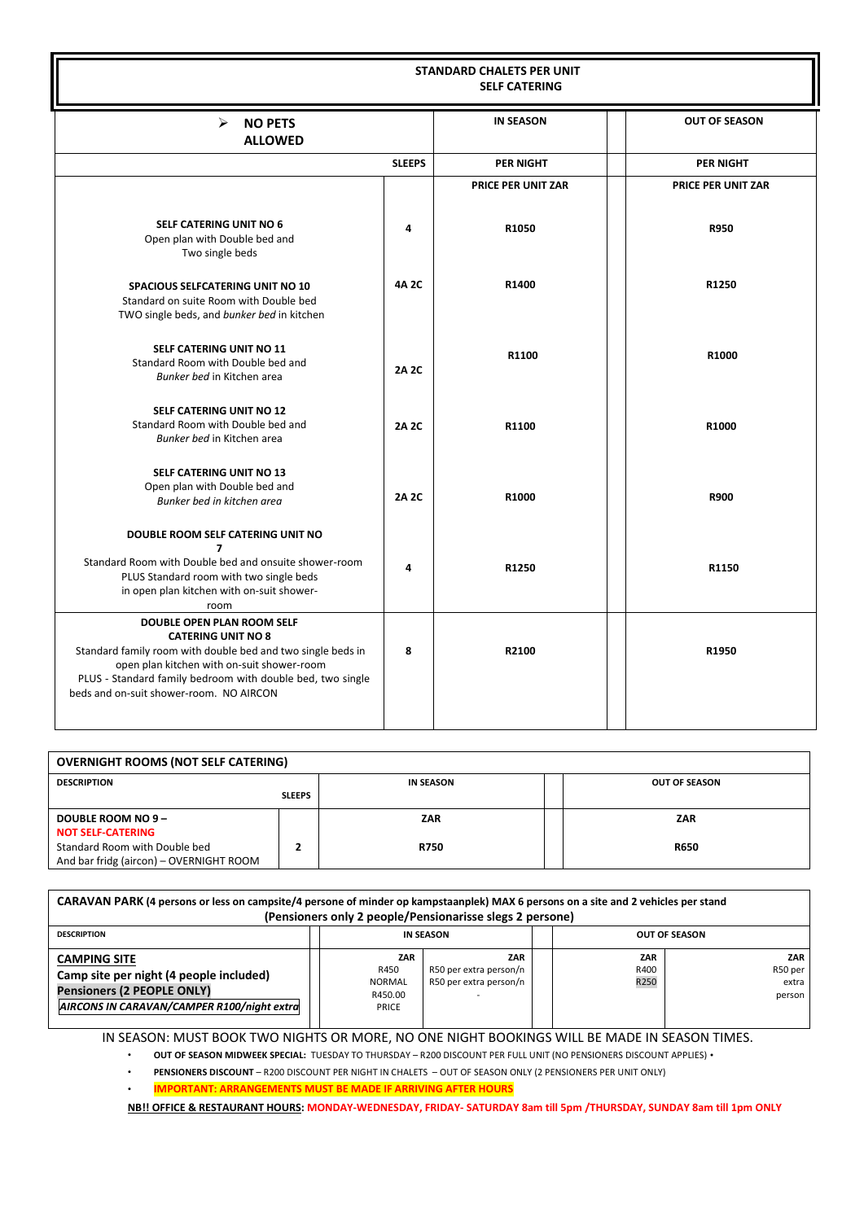| <b>STANDARD CHALETS PER UNIT</b><br><b>SELF CATERING</b>                                                                                                                                                                                                                      |               |                           |                           |  |  |  |
|-------------------------------------------------------------------------------------------------------------------------------------------------------------------------------------------------------------------------------------------------------------------------------|---------------|---------------------------|---------------------------|--|--|--|
| <b>NO PETS</b><br>≻<br><b>ALLOWED</b>                                                                                                                                                                                                                                         |               | <b>IN SEASON</b>          | <b>OUT OF SEASON</b>      |  |  |  |
|                                                                                                                                                                                                                                                                               | <b>SLEEPS</b> | <b>PER NIGHT</b>          | <b>PER NIGHT</b>          |  |  |  |
|                                                                                                                                                                                                                                                                               |               | <b>PRICE PER UNIT ZAR</b> | <b>PRICE PER UNIT ZAR</b> |  |  |  |
| <b>SELF CATERING UNIT NO 6</b><br>Open plan with Double bed and<br>Two single beds                                                                                                                                                                                            | 4             | R1050                     | R950                      |  |  |  |
| <b>SPACIOUS SELFCATERING UNIT NO 10</b><br>Standard on suite Room with Double bed<br>TWO single beds, and bunker bed in kitchen                                                                                                                                               | 4A 2C         | R1400                     | R1250                     |  |  |  |
| <b>SELF CATERING UNIT NO 11</b><br>Standard Room with Double bed and<br>Bunker bed in Kitchen area                                                                                                                                                                            | <b>2A 2C</b>  | R1100                     | R1000                     |  |  |  |
| <b>SELF CATERING UNIT NO 12</b><br>Standard Room with Double bed and<br>Bunker bed in Kitchen area                                                                                                                                                                            | <b>2A 2C</b>  | R1100                     | R1000                     |  |  |  |
| SELF CATERING UNIT NO 13<br>Open plan with Double bed and<br>Bunker bed in kitchen area                                                                                                                                                                                       | <b>2A 2C</b>  | R1000                     | <b>R900</b>               |  |  |  |
| DOUBLE ROOM SELF CATERING UNIT NO<br>$\overline{ }$<br>Standard Room with Double bed and onsuite shower-room<br>PLUS Standard room with two single beds<br>in open plan kitchen with on-suit shower-<br>room                                                                  | 4             | R1250                     | R1150                     |  |  |  |
| DOUBLE OPEN PLAN ROOM SELF<br><b>CATERING UNIT NO 8</b><br>Standard family room with double bed and two single beds in<br>open plan kitchen with on-suit shower-room<br>PLUS - Standard family bedroom with double bed, two single<br>beds and on-suit shower-room. NO AIRCON | 8             | R2100                     | R1950                     |  |  |  |

| <b>OVERNIGHT ROOMS (NOT SELF CATERING)</b> |               |             |  |                      |  |  |
|--------------------------------------------|---------------|-------------|--|----------------------|--|--|
| <b>DESCRIPTION</b>                         |               | IN SEASON   |  | <b>OUT OF SEASON</b> |  |  |
|                                            | <b>SLEEPS</b> |             |  |                      |  |  |
| <b>DOUBLE ROOM NO 9-</b>                   |               | ZAR         |  | <b>ZAR</b>           |  |  |
| <b>NOT SELF-CATERING</b>                   |               |             |  |                      |  |  |
| Standard Room with Double bed              |               | <b>R750</b> |  | <b>R650</b>          |  |  |
| And bar fridg (aircon) - OVERNIGHT ROOM    |               |             |  |                      |  |  |

| CARAVAN PARK (4 persons or less on campsite/4 persone of minder op kampstaanplek) MAX 6 persons on a site and 2 vehicles per stand<br>(Pensioners only 2 people/Pensionarisse slegs 2 persone) |                                                  |                                                         |                     |                                   |  |  |
|------------------------------------------------------------------------------------------------------------------------------------------------------------------------------------------------|--------------------------------------------------|---------------------------------------------------------|---------------------|-----------------------------------|--|--|
| <b>DESCRIPTION</b>                                                                                                                                                                             |                                                  | IN SEASON                                               |                     | <b>OUT OF SEASON</b>              |  |  |
| <b>CAMPING SITE</b><br>Camp site per night (4 people included)<br><b>Pensioners (2 PEOPLE ONLY)</b><br>AIRCONS IN CARAVAN/CAMPER R100/night extra                                              | ZAR<br>R450<br><b>NORMAL</b><br>R450.00<br>PRICE | ZAR<br>R50 per extra person/n<br>R50 per extra person/n | ZAR<br>R400<br>R250 | ZAR<br>R50 per<br>extra<br>person |  |  |

IN SEASON: MUST BOOK TWO NIGHTS OR MORE, NO ONE NIGHT BOOKINGS WILL BE MADE IN SEASON TIMES.

• **OUT OF SEASON MIDWEEK SPECIAL:** TUESDAY TO THURSDAY – R200 DISCOUNT PER FULL UNIT (NO PENSIONERS DISCOUNT APPLIES) •

• **PENSIONERS DISCOUNT** – R200 DISCOUNT PER NIGHT IN CHALETS – OUT OF SEASON ONLY (2 PENSIONERS PER UNIT ONLY)

• **IMPORTANT: ARRANGEMENTS MUST BE MADE IF ARRIVING AFTER HOURS**

**NB!! OFFICE & RESTAURANT HOURS: MONDAY-WEDNESDAY, FRIDAY- SATURDAY 8am till 5pm /THURSDAY, SUNDAY 8am till 1pm ONLY**